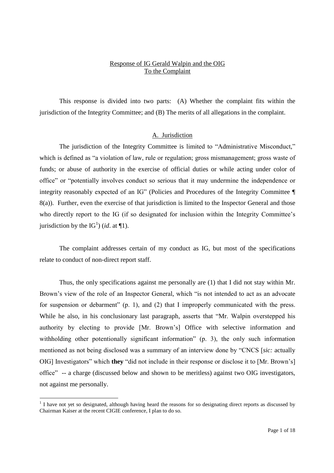# Response of IG Gerald Walpin and the OIG To the Complaint

This response is divided into two parts: (A) Whether the complaint fits within the jurisdiction of the Integrity Committee; and (B) The merits of all allegations in the complaint.

### A. Jurisdiction

The jurisdiction of the Integrity Committee is limited to "Administrative Misconduct," which is defined as "a violation of law, rule or regulation; gross mismanagement; gross waste of funds; or abuse of authority in the exercise of official duties or while acting under color of office" or "potentially involves conduct so serious that it may undermine the independence or integrity reasonably expected of an IG" (Policies and Procedures of the Integrity Committee  $\P$ 8(a)). Further, even the exercise of that jurisdiction is limited to the Inspector General and those who directly report to the IG (if so designated for inclusion within the Integrity Committee's jurisdiction by the  $IG<sup>1</sup>$ ) (*id.* at  $\P$ 1).

The complaint addresses certain of my conduct as IG, but most of the specifications relate to conduct of non-direct report staff.

Thus, the only specifications against me personally are (1) that I did not stay within Mr. Brown's view of the role of an Inspector General, which "is not intended to act as an advocate for suspension or debarment" (p. 1), and (2) that I improperly communicated with the press. While he also, in his conclusionary last paragraph, asserts that "Mr. Walpin overstepped his authority by electing to provide [Mr. Brown's] Office with selective information and withholding other potentionally significant information"  $(p, 3)$ , the only such information mentioned as not being disclosed was a summary of an interview done by "CNCS [sic: actually OIGI Investigators" which **they** "did not include in their response or disclose it to [Mr. Brown's] office"-- a charge (discussed below and shown to be meritless) against two OIG investigators, not against me personally.

<sup>&</sup>lt;sup>1</sup> I have not yet so designated, although having heard the reasons for so designating direct reports as discussed by Chairman Kaiser at the recent CIGIE conference, I plan to do so.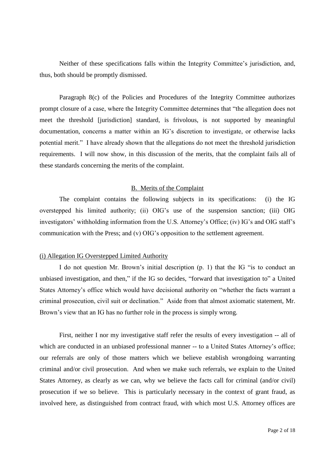Neither of these specifications falls within the Integrity Committee's jurisdiction, and, thus, both should be promptly dismissed.

Paragraph 8(c) of the Policies and Procedures of the Integrity Committee authorizes prompt closure of a case, where the Integrity Committee determines that "the allegation does not meet the threshold [jurisdiction] standard, is frivolous, is not supported by meaningful documentation, concerns a matter within an IG's discretion to investigate, or otherwise lacks potential merit." I have already shown that the allegations do not meet the threshold jurisdiction requirements. I will now show, in this discussion of the merits, that the complaint fails all of these standards concerning the merits of the complaint.

## B. Merits of the Complaint

The complaint contains the following subjects in its specifications: (i) the IG overstepped his limited authority; (ii) OIG's use of the suspension sanction; (iii) OIG investigators' withholding information from the U.S. Attorney's Office; (iv) IG's and OIG staff's communication with the Press; and  $(v)$  OIG's opposition to the settlement agreement.

# (i) Allegation IG Overstepped Limited Authority

I do not question Mr. Brown's initial description  $(p, 1)$  that the IG "is to conduct an unbiased investigation, and then," if the IG so decides, "forward that investigation to" a United States Attorney's office which would have decisional authority on "whether the facts warrant a criminal prosecution, civil suit or declination." Aside from that almost axiomatic statement, Mr. Brown's view that an IG has no further role in the process is simply wrong.

First, neither I nor my investigative staff refer the results of every investigation -- all of which are conducted in an unbiased professional manner -- to a United States Attorney's office; our referrals are only of those matters which we believe establish wrongdoing warranting criminal and/or civil prosecution. And when we make such referrals, we explain to the United States Attorney, as clearly as we can, why we believe the facts call for criminal (and/or civil) prosecution if we so believe. This is particularly necessary in the context of grant fraud, as involved here, as distinguished from contract fraud, with which most U.S. Attorney offices are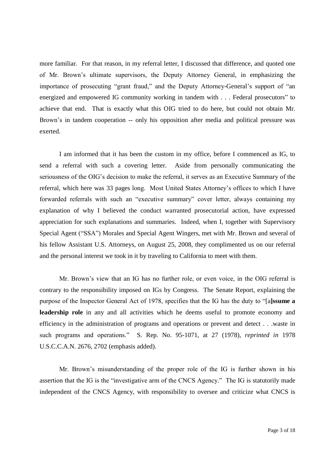more familiar. For that reason, in my referral letter, I discussed that difference, and quoted one of Mr. Brown's ultimate supervisors, the Deputy Attorney General, in emphasizing the importance of prosecuting "grant fraud," and the Deputy Attorney-General's support of "an energized and empowered IG community working in tandem with . . . Federal prosecutors"to achieve that end. That is exactly what this OIG tried to do here, but could not obtain Mr. Brown's in tandem cooperation -- only his opposition after media and political pressure was exerted.

I am informed that it has been the custom in my office, before I commenced as IG, to send a referral with such a covering letter. Aside from personally communicating the seriousness of the OIG's decision to make the referral, it serves as an Executive Summary of the referral, which here was 33 pages long. Most United States Attorney's offices to which I have forwarded referrals with such an "executive summary" cover letter, always containing my explanation of why I believed the conduct warranted prosecutorial action, have expressed appreciation for such explanations and summaries. Indeed, when I, together with Supervisory Special Agent ("SSA") Morales and Special Agent Wingers, met with Mr. Brown and several of his fellow Assistant U.S. Attorneys, on August 25, 2008, they complimented us on our referral and the personal interest we took in it by traveling to California to meet with them.

Mr. Brown's view that an IG has no further role, or even voice, in the OIG referral is contrary to the responsibility imposed on IGs by Congress. The Senate Report, explaining the purpose of the Inspector General Act of 1978, specifies that the IG has the duty to "[a]ssume a **leadership role** in any and all activities which he deems useful to promote economy and efficiency in the administration of programs and operations or prevent and detect . . .waste in such programs and operations." S. Rep. No. 95-1071, at 27 (1978), *reprinted in* 1978 U.S.C.C.A.N. 2676, 2702 (emphasis added).

Mr. Brown's misunderstanding of the proper role of the IG is further shown in his assertion that the IG is the "investigative arm of the CNCS Agency." The IG is statutorily made independent of the CNCS Agency, with responsibility to oversee and criticize what CNCS is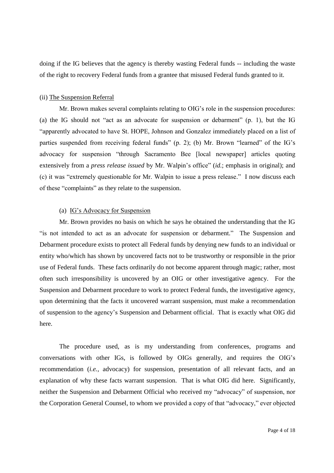doing if the IG believes that the agency is thereby wasting Federal funds -- including the waste of the right to recovery Federal funds from a grantee that misused Federal funds granted to it.

# (ii) The Suspension Referral

Mr. Brown makes several complaints relating to OIG's role in the suspension procedures: (a) the IG should not "act as an advocate for suspension or debarment" (p. 1), but the IG "apparently advocated to have St. HOPE, Johnson and Gonzalez immediately placed on a list of parties suspended from receiving federal funds" (p. 2); (b) Mr. Brown "learned" of the IG's advocacy for suspension "through Sacramento Bee [local newspaper] articles quoting extensively from a *press release issued* by Mr. Walpin's office" (*id.*; emphasis in original); and (c) it was "extremely questionable for Mr. Walpin to issue a press release." I now discuss each of these "complaints" as they relate to the suspension.

# (a) IG's Advocacy for Suspension

Mr. Brown provides no basis on which he says he obtained the understanding that the IG "is not intended to act as an advocate for suspension or debarment." The Suspension and Debarment procedure exists to protect all Federal funds by denying new funds to an individual or entity who/which has shown by uncovered facts not to be trustworthy or responsible in the prior use of Federal funds. These facts ordinarily do not become apparent through magic; rather, most often such irresponsibility is uncovered by an OIG or other investigative agency. For the Suspension and Debarment procedure to work to protect Federal funds, the investigative agency, upon determining that the facts it uncovered warrant suspension, must make a recommendation of suspension to the agency's Suspension and Debarment official. That is exactly what OIG did here.

The procedure used, as is my understanding from conferences, programs and conversations with other IGs, is followed by OIGs generally, and requires the OIG's recommendation (*i.e.,* advocacy) for suspension, presentation of all relevant facts, and an explanation of why these facts warrant suspension. That is what OIG did here. Significantly, neither the Suspension and Debarment Official who received my "advocacy" of suspension, nor the Corporation General Counsel, to whom we provided a copy of that "advocacy," ever objected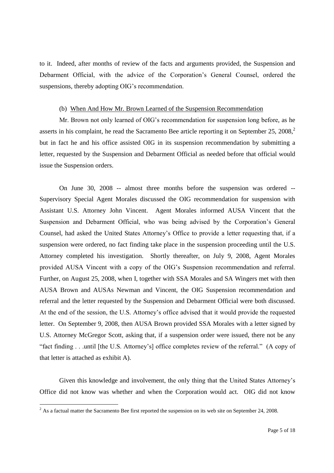to it. Indeed, after months of review of the facts and arguments provided, the Suspension and Debarment Official, with the advice of the Corporation's General Counsel, ordered the suspensions, thereby adopting OIG's recommendation.

#### (b) When And How Mr. Brown Learned of the Suspension Recommendation

Mr. Brown not only learned of OIG's recommendation for suspension long before, as he asserts in his complaint, he read the Sacramento Bee article reporting it on September 25, 2008,<sup>2</sup> but in fact he and his office assisted OIG in its suspension recommendation by submitting a letter, requested by the Suspension and Debarment Official as needed before that official would issue the Suspension orders.

On June 30, 2008 -- almost three months before the suspension was ordered -- Supervisory Special Agent Morales discussed the OIG recommendation for suspension with Assistant U.S. Attorney John Vincent. Agent Morales informed AUSA Vincent that the Suspension and Debarment Official, who was being advised by the Corporation's General Counsel, had asked the United States Attorney's Office to provide a letter requesting that, if a suspension were ordered, no fact finding take place in the suspension proceeding until the U.S. Attorney completed his investigation. Shortly thereafter, on July 9, 2008, Agent Morales provided AUSA Vincent with a copy of the OIG's Suspension recommendation and referral. Further, on August 25, 2008, when I, together with SSA Morales and SA Wingers met with then AUSA Brown and AUSAs Newman and Vincent, the OIG Suspension recommendation and referral and the letter requested by the Suspension and Debarment Official were both discussed. At the end of the session, the U.S. Attorney's office advised that it would provide the requested letter. On September 9, 2008, then AUSA Brown provided SSA Morales with a letter signed by U.S. Attorney McGregor Scott, asking that, if a suspension order were issued, there not be any "fact finding...until [the U.S. Attorney's] office completes review of the referral." (A copy of that letter is attached as exhibit A).

Given this knowledge and involvement, the only thing that the United States Attorney's Office did not know was whether and when the Corporation would act. OIG did not know

<sup>&</sup>lt;sup>2</sup> As a factual matter the Sacramento Bee first reported the suspension on its web site on September 24, 2008.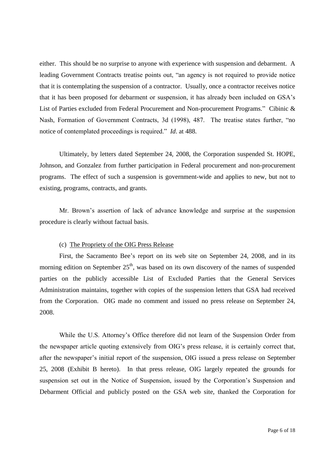either. This should be no surprise to anyone with experience with suspension and debarment. A leading Government Contracts treatise points out, "an agency is not required to provide notice that it is contemplating the suspension of a contractor. Usually, once a contractor receives notice that it has been proposed for debarment or suspension, it has already been included on GSA's List of Parties excluded from Federal Procurement and Non-procurement Programs." Cibinic & Nash, Formation of Government Contracts, 3d (1998), 487. The treatise states further, "no notice of contemplated proceedings is required." *Id.* at 488.

Ultimately, by letters dated September 24, 2008, the Corporation suspended St. HOPE, Johnson, and Gonzalez from further participation in Federal procurement and non-procurement programs. The effect of such a suspension is government-wide and applies to new, but not to existing, programs, contracts, and grants.

Mr. Brown's assertion of lack of advance knowledge and surprise at the suspension procedure is clearly without factual basis.

### (c) The Propriety of the OIG Press Release

First, the Sacramento Bee's report on its web site on September 24, 2008, and in its morning edition on September  $25<sup>th</sup>$ , was based on its own discovery of the names of suspended parties on the publicly accessible List of Excluded Parties that the General Services Administration maintains, together with copies of the suspension letters that GSA had received from the Corporation. OIG made no comment and issued no press release on September 24, 2008.

While the U.S. Attorney's Office therefore did not learn of the Suspension Order from the newspaper article quoting extensively from OIG's press release, it is certainly correct that, after the newspaper's initial report of the suspension, OIG issued a press release on September 25, 2008 (Exhibit B hereto). In that press release, OIG largely repeated the grounds for suspension set out in the Notice of Suspension, issued by the Corporation's Suspension and Debarment Official and publicly posted on the GSA web site, thanked the Corporation for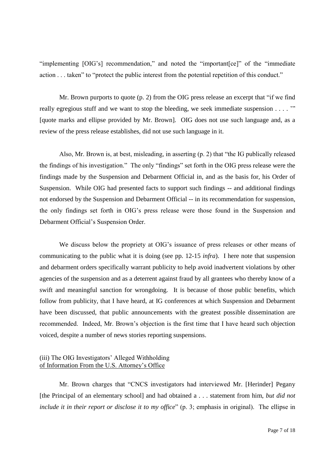"implementing [OIG's] recommendation," and noted the "important [ce]" of the "immediate" action...taken" to "protect the public interest from the potential repetition of this conduct."

Mr. Brown purports to quote  $(p, 2)$  from the OIG press release an excerpt that "if we find really egregious stuff and we want to stop the bleeding, we seek immediate suspension . . . . "" [quote marks and ellipse provided by Mr. Brown]. OIG does not use such language and, as a review of the press release establishes, did not use such language in it.

Also, Mr. Brown is, at best, misleading, in asserting  $(p, 2)$  that "the IG publically released the findings of his investigation." The only "findings" set forth in the OIG press release were the findings made by the Suspension and Debarment Official in, and as the basis for, his Order of Suspension. While OIG had presented facts to support such findings -- and additional findings not endorsed by the Suspension and Debarment Official -- in its recommendation for suspension, the only findings set forth in OIG's press release were those found in the Suspension and Debarment Official's Suspension Order.

We discuss below the propriety at OIG's issuance of press releases or other means of communicating to the public what it is doing (see pp. 12-15 *infra*). I here note that suspension and debarment orders specifically warrant publicity to help avoid inadvertent violations by other agencies of the suspension and as a deterrent against fraud by all grantees who thereby know of a swift and meaningful sanction for wrongdoing. It is because of those public benefits, which follow from publicity, that I have heard, at IG conferences at which Suspension and Debarment have been discussed, that public announcements with the greatest possible dissemination are recommended. Indeed, Mr. Brown's objection is the first time that I have heard such objection voiced, despite a number of news stories reporting suspensions.

### (iii) The OIG Investigators' Alleged Withholding of Information From the U.S.Attorney'sOffice

Mr. Brown charges that "CNCS investigators had interviewed Mr. [Herinder] Pegany [the Principal of an elementary school] and had obtained a . . . statement from him, *but did not include it in their report or disclose it to my office*" (p. 3; emphasis in original). The ellipse in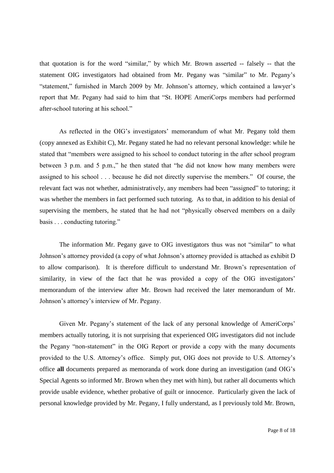that quotation is for the word "similar," by which Mr. Brown asserted -- falsely -- that the statement OIG investigators had obtained from Mr. Pegany was "similar" to Mr. Pegany's "statement," furnished in March 2009 by Mr. Johnson's attorney, which contained a lawyer's report that Mr. Pegany had said to him that "St. HOPE AmeriCorps members had performed after-school tutoring at his school."

As reflected in the OIG's investigators' memorandum of what Mr. Pegany told them (copy annexed as Exhibit C), Mr. Pegany stated he had no relevant personal knowledge: while he stated that "members were assigned to his school to conduct tutoring in the after school program between 3 p.m. and 5 p.m.," he then stated that "he did not know how many members were assigned to his school...because he did not directly supervise the members." Of course, the relevant fact was not whether, administratively, any members had been "assigned" to tutoring; it was whether the members in fact performed such tutoring. As to that, in addition to his denial of supervising the members, he stated that he had not "physically observed members on a daily basis . . . conducting tutoring."

The information Mr. Pegany gave to OIG investigators thus was not "similar" to what Johnson's attorney provided (a copy of what Johnson's attorney provided is attached as exhibit D to allow comparison). It is therefore difficult to understand Mr. Brown's representation of similarity, in view of the fact that he was provided a copy of the OIG investigators' memorandum of the interview after Mr. Brown had received the later memorandum of Mr. Johnson's attorney's interview of Mr. Pegany.

Given Mr. Pegany's statement of the lack of any personal knowledge of AmeriCorps' members actually tutoring, it is not surprising that experienced OIG investigators did not include the Pegany "non-statement" in the OIG Report or provide a copy with the many documents provided to the U.S. Attorney's office. Simply put, OIG does not provide to U.S. Attorney's office **all** documents prepared as memoranda of work done during an investigation (and OIG's Special Agents so informed Mr. Brown when they met with him), but rather all documents which provide usable evidence, whether probative of guilt or innocence. Particularly given the lack of personal knowledge provided by Mr. Pegany, I fully understand, as I previously told Mr. Brown,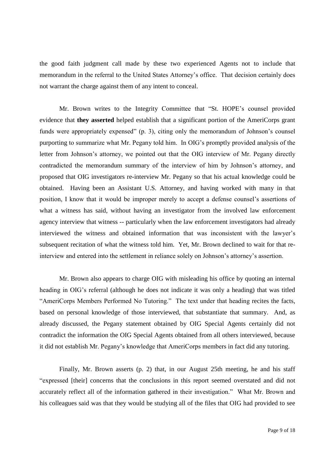the good faith judgment call made by these two experienced Agents not to include that memorandum in the referral to the United States Attorney's office. That decision certainly does not warrant the charge against them of any intent to conceal.

Mr. Brown writes to the Integrity Committee that "St. HOPE's counsel provided evidence that **they asserted** helped establish that a significant portion of the AmeriCorps grant funds were appropriately expensed"  $(p, 3)$ , citing only the memorandum of Johnson's counsel purporting to summarize what Mr. Pegany told him. In OIG's promptly provided analysis of the letter from Johnson's attorney, we pointed out that the OIG interview of Mr. Pegany directly contradicted the memorandum summary of the interview of him by Johnson's attorney, and proposed that OIG investigators re-interview Mr. Pegany so that his actual knowledge could be obtained. Having been an Assistant U.S. Attorney, and having worked with many in that position, I know that it would be improper merely to accept a defense counsel's assertions of what a witness has said, without having an investigator from the involved law enforcement agency interview that witness -- particularly when the law enforcement investigators had already interviewed the witness and obtained information that was inconsistent with the lawyer's subsequent recitation of what the witness told him. Yet, Mr. Brown declined to wait for that reinterview and entered into the settlement in reliance solely on Johnson's attorney's assertion.

Mr. Brown also appears to charge OIG with misleading his office by quoting an internal heading in OIG's referral (although he does not indicate it was only a heading) that was titled "AmeriCorps Members Performed No Tutoring." The text under that heading recites the facts, based on personal knowledge of those interviewed, that substantiate that summary. And, as already discussed, the Pegany statement obtained by OIG Special Agents certainly did not contradict the information the OIG Special Agents obtained from all others interviewed, because it did not establish Mr. Pegany's knowledge that AmeriCorps members in fact did any tutoring.

Finally, Mr. Brown asserts (p. 2) that, in our August 25th meeting, he and his staff "expressed [their] concerns that the conclusions in this report seemed overstated and did not accurately reflect all of the information gathered in their investigation." What Mr. Brown and his colleagues said was that they would be studying all of the files that OIG had provided to see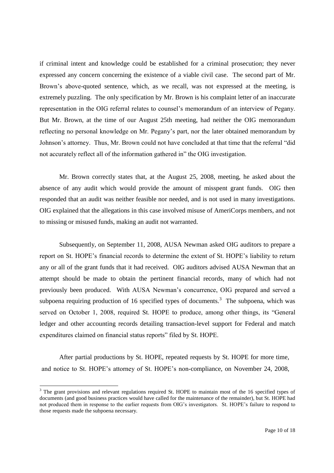if criminal intent and knowledge could be established for a criminal prosecution; they never expressed any concern concerning the existence of a viable civil case. The second part of Mr. Brown's above-quoted sentence, which, as we recall, was not expressed at the meeting, is extremely puzzling. The only specification by Mr. Brown is his complaint letter of an inaccurate representation in the OIG referral relates to counsel's memorandum of an interview of Pegany. But Mr. Brown, at the time of our August 25th meeting, had neither the OIG memorandum reflecting no personal knowledge on Mr. Pegany's part, nor the later obtained memorandum by Johnson's attorney. Thus, Mr. Brown could not have concluded at that time that the referral "did not accurately reflect all of the information gathered in" the OIG investigation.

Mr. Brown correctly states that, at the August 25, 2008, meeting, he asked about the absence of any audit which would provide the amount of misspent grant funds. OIG then responded that an audit was neither feasible nor needed, and is not used in many investigations. OIG explained that the allegations in this case involved misuse of AmeriCorps members, and not to missing or misused funds, making an audit not warranted.

Subsequently, on September 11, 2008, AUSA Newman asked OIG auditors to prepare a report on St. HOPE's financial records to determine the extent of St. HOPE's liability to return any or all of the grant funds that it had received. OIG auditors advised AUSA Newman that an attempt should be made to obtain the pertinent financial records, many of which had not previously been produced. With AUSA Newman's concurrence, OIG prepared and served a subpoena requiring production of 16 specified types of documents.<sup>3</sup> The subpoena, which was served on October 1, 2008, required St. HOPE to produce, among other things, its "General ledger and other accounting records detailing transaction-level support for Federal and match expenditures claimed on financial status reports" filed by St. HOPE.

After partial productions by St. HOPE, repeated requests by St. HOPE for more time, and notice to St. HOPE's attorney of St. HOPE's non-compliance, on November 24, 2008,

<sup>&</sup>lt;sup>3</sup> The grant provisions and relevant regulations required St. HOPE to maintain most of the 16 specified types of documents (and good business practices would have called for the maintenance of the remainder), but St. HOPE had not produced them in response to the earlier requests from OIG's investigators. St. HOPE's failure to respond to those requests made the subpoena necessary.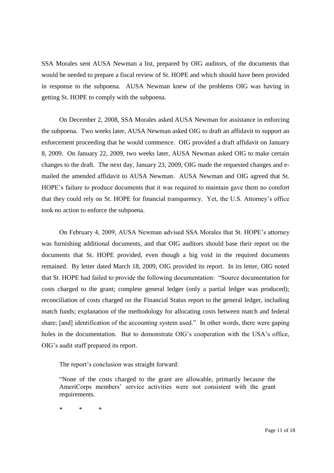SSA Morales sent AUSA Newman a list, prepared by OIG auditors, of the documents that would be needed to prepare a fiscal review of St. HOPE and which should have been provided in response to the subpoena. AUSA Newman knew of the problems OIG was having in getting St. HOPE to comply with the subpoena.

On December 2, 2008, SSA Morales asked AUSA Newman for assistance in enforcing the subpoena. Two weeks later, AUSA Newman asked OIG to draft an affidavit to support an enforcement proceeding that he would commence. OIG provided a draft affidavit on January 8, 2009. On January 22, 2009, two weeks later, AUSA Newman asked OIG to make certain changes to the draft. The next day, January 23, 2009, OIG made the requested changes and emailed the amended affidavit to AUSA Newman. AUSA Newman and OIG agreed that St. HOPE's failure to produce documents that it was required to maintain gave them no comfort that they could rely on St. HOPE for financial transparency. Yet, the U.S. Attorney's office took no action to enforce the subpoena.

On February 4, 2009, AUSA Newman advised SSA Morales that St. HOPE's attorney was furnishing additional documents, and that OIG auditors should base their report on the documents that St. HOPE provided, even though a big void in the required documents remained. By letter dated March 18, 2009, OIG provided its report. In its letter, OIG noted that St. HOPE had failed to provide the following documentation: "Source documentation for costs charged to the grant; complete general ledger (only a partial ledger was produced); reconciliation of costs charged on the Financial Status report to the general ledger, including match funds; explanation of the methodology for allocating costs between match and federal share; [and] identification of the accounting system used." In other words, there were gaping holes in the documentation. But to demonstrate OIG's cooperation with the USA's office, OIG's audit staff prepared its report.

The report's conclusion was straight forward:

"None of the costs charged to the grant are allowable, primarily because the AmeriCorps members' service activities were not consistent with the grant requirements.

\* \* \*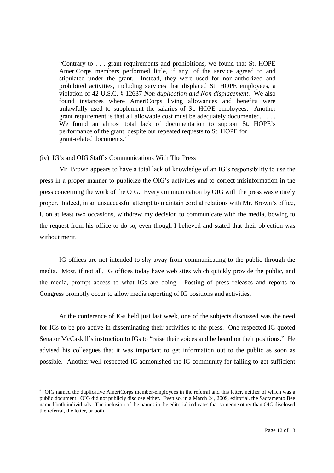"Contrary to . . . grant requirements and prohibitions, we found that St. HOPE AmeriCorps members performed little, if any, of the service agreed to and stipulated under the grant. Instead, they were used for non-authorized and prohibited activities, including services that displaced St. HOPE employees, a violation of 42 U.S.C. § 12637 *Non duplication and Non displacement*. We also found instances where AmeriCorps living allowances and benefits were unlawfully used to supplement the salaries of St. HOPE employees. Another grant requirement is that all allowable cost must be adequately documented. . . . . We found an almost total lack of documentation to support St. HOPE's performance of the grant, despite our repeated requests to St. HOPE for grant-related documents."<sup>4</sup>

### (iv) IG'sandOIGStaff's Communications With The Press

Mr. Brown appears to have a total lack of knowledge of an  $IG$ 's responsibility to use the press in a proper manner to publicize the OIG's activities and to correct misinformation in the press concerning the work of the OIG. Every communication by OIG with the press was entirely proper. Indeed, in an unsuccessful attempt to maintain cordial relations with Mr. Brown's office, I, on at least two occasions, withdrew my decision to communicate with the media, bowing to the request from his office to do so, even though I believed and stated that their objection was without merit.

IG offices are not intended to shy away from communicating to the public through the media. Most, if not all, IG offices today have web sites which quickly provide the public, and the media, prompt access to what IGs are doing. Posting of press releases and reports to Congress promptly occur to allow media reporting of IG positions and activities.

At the conference of IGs held just last week, one of the subjects discussed was the need for IGs to be pro-active in disseminating their activities to the press. One respected IG quoted Senator McCaskill's instruction to IGs to "raise their voices and be heard on their positions." He advised his colleagues that it was important to get information out to the public as soon as possible. Another well respected IG admonished the IG community for failing to get sufficient

<sup>&</sup>lt;sup>4</sup> OIG named the duplicative AmeriCorps member-employees in the referral and this letter, neither of which was a public document. OIG did not publicly disclose either. Even so, in a March 24, 2009, editorial, the Sacramento Bee named both individuals. The inclusion of the names in the editorial indicates that someone other than OIG disclosed the referral, the letter, or both.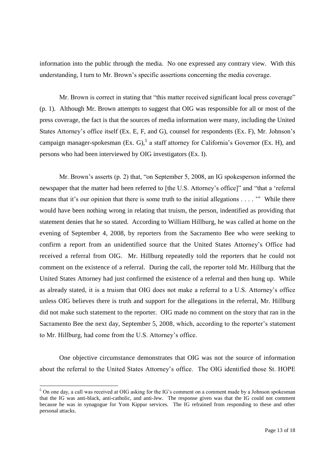information into the public through the media. No one expressed any contrary view. With this understanding, I turn to Mr. Brown's specific assertions concerning the media coverage.

Mr. Brown is correct in stating that "this matter received significant local press coverage" (p. 1). Although Mr. Brown attempts to suggest that OIG was responsible for all or most of the press coverage, the fact is that the sources of media information were many, including the United States Attorney's office itself (Ex. E, F, and G), counsel for respondents (Ex. F), Mr. Johnson's campaign manager-spokesman (Ex. G),<sup>5</sup> a staff attorney for California's Governor (Ex. H), and persons who had been interviewed by OIG investigators (Ex. I).

Mr. Brown's asserts (p. 2) that, "on September 5, 2008, an IG spokesperson informed the newspaper that the matter had been referred to [the U.S. Attorney's office]" and "that a 'referral means that it's our opinion that there is some truth to the initial allegations  $\dots$ . "While there would have been nothing wrong in relating that truism, the person, indentified as providing that statement denies that he so stated. According to William Hillburg, he was called at home on the evening of September 4, 2008, by reporters from the Sacramento Bee who were seeking to confirm a report from an unidentified source that the United States Attorney's Office had received a referral from OIG. Mr. Hillburg repeatedly told the reporters that he could not comment on the existence of a referral. During the call, the reporter told Mr. Hillburg that the United States Attorney had just confirmed the existence of a referral and then hung up. While as already stated, it is a truism that OIG does not make a referral to a U.S. Attorney's office unless OIG believes there is truth and support for the allegations in the referral, Mr. Hillburg did not make such statement to the reporter. OIG made no comment on the story that ran in the Sacramento Bee the next day, September 5, 2008, which, according to the reporter's statement to Mr. Hillburg, had come from the U.S. Attorney's office.

One objective circumstance demonstrates that OIG was not the source of information about the referral to the United States Attorney's office. The OIG identified those St. HOPE

 $5$  On one day, a call was received at OIG asking for the IG's comment on a comment made by a Johnson spokesman that the IG was anti-black, anti-catholic, and anti-Jew. The response given was that the IG could not comment because he was in synagogue for Yom Kippur services. The IG refrained from responding to these and other personal attacks.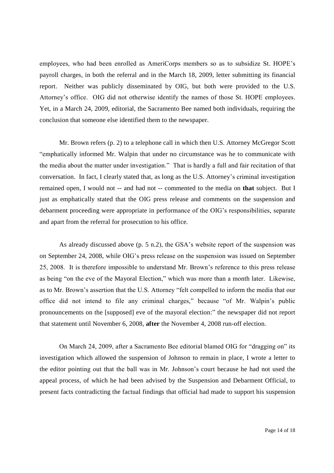employees, who had been enrolled as AmeriCorps members so as to subsidize St. HOPE's payroll charges, in both the referral and in the March 18, 2009, letter submitting its financial report. Neither was publicly disseminated by OIG, but both were provided to the U.S. Attorney's office. OIG did not otherwise identify the names of those St. HOPE employees. Yet, in a March 24, 2009, editorial, the Sacramento Bee named both individuals, requiring the conclusion that someone else identified them to the newspaper.

Mr. Brown refers (p. 2) to a telephone call in which then U.S. Attorney McGregor Scott "emphatically informed Mr. Walpin that under no circumstance was he to communicate with the media about the matter under investigation." That is hardly a full and fair recitation of that conversation. In fact, I clearly stated that, as long as the U.S. Attorney'scriminalinvestigation remained open, I would not -- and had not -- commented to the media on **that** subject. But I just as emphatically stated that the OIG press release and comments on the suspension and debarment proceeding were appropriate in performance of the OIG's responsibilities, separate and apart from the referral for prosecution to his office.

As already discussed above (p. 5 n.2), the GSA's website report of the suspension was on September 24, 2008, while OIG's press release on the suspension was issued on September 25, 2008. It is therefore impossible to understand Mr. Brown's reference to this press release as being "on the eve of the Mayoral Election," which was more than a month later. Likewise, as to Mr. Brown's assertion that the U.S. Attorney "felt compelled to inform the media that our office did not intend to file any criminal charges," because "of Mr. Walpin's public pronouncements on the [supposed] eve of the mayoral election:" the newspaper did not report that statement until November 6, 2008, **after** the November 4, 2008 run-off election.

On March 24, 2009, after a Sacramento Bee editorial blamed OIG for "dragging on" its investigation which allowed the suspension of Johnson to remain in place, I wrote a letter to the editor pointing out that the ball was in Mr. Johnson's court because he had not used the appeal process, of which he had been advised by the Suspension and Debarment Official, to present facts contradicting the factual findings that official had made to support his suspension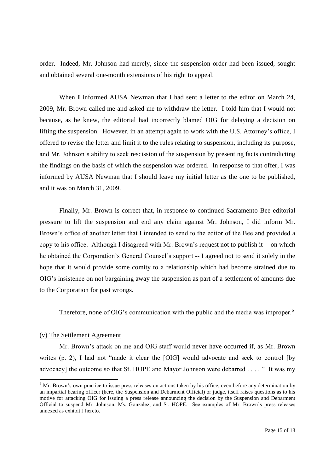order. Indeed, Mr. Johnson had merely, since the suspension order had been issued, sought and obtained several one-month extensions of his right to appeal.

When **I** informed AUSA Newman that I had sent a letter to the editor on March 24, 2009, Mr. Brown called me and asked me to withdraw the letter. I told him that I would not because, as he knew, the editorial had incorrectly blamed OIG for delaying a decision on lifting the suspension. However, in an attempt again to work with the U.S. Attorney's office, I offered to revise the letter and limit it to the rules relating to suspension, including its purpose, and Mr. Johnson's ability to seek rescission of the suspension by presenting facts contradicting the findings on the basis of which the suspension was ordered. In response to that offer, I was informed by AUSA Newman that I should leave my initial letter as the one to be published, and it was on March 31, 2009.

Finally, Mr. Brown is correct that, in response to continued Sacramento Bee editorial pressure to lift the suspension and end any claim against Mr. Johnson, I did inform Mr. Brown's office of another letter that I intended to send to the editor of the Bee and provided a copy to his office. Although I disagreed with Mr. Brown's request not to publish it -- on which he obtained the Corporation's General Counsel's support -- I agreed not to send it solely in the hope that it would provide some comity to a relationship which had become strained due to OIG's insistence on not bargaining away the suspension as part of a settlement of amounts due to the Corporation for past wrongs.

Therefore, none of OIG's communication with the public and the media was improper.<sup>6</sup>

### (v) The Settlement Agreement

Mr. Brown's attack on me and OIG staff would never have occurred if, as Mr. Brown writes  $(p, 2)$ , I had not "made it clear the [OIG] would advocate and seek to control [by advocacy] the outcome so that St. HOPE and Mayor Johnson were debarred ...." It was my

 $6$  Mr. Brown's own practice to issue press releases on actions taken by his office, even before any determination by an impartial hearing officer (here, the Suspension and Debarment Official) or judge, itself raises questions as to his motive for attacking OIG for issuing a press release announcing the decision by the Suspension and Debarment Official to suspend Mr. Johnson, Ms. Gonzalez, and St. HOPE. See examples of Mr. Brown's press releases annexed as exhibit J hereto.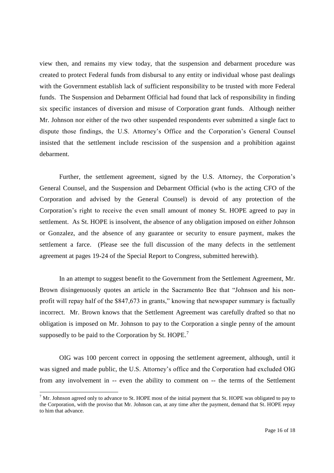view then, and remains my view today, that the suspension and debarment procedure was created to protect Federal funds from disbursal to any entity or individual whose past dealings with the Government establish lack of sufficient responsibility to be trusted with more Federal funds. The Suspension and Debarment Official had found that lack of responsibility in finding six specific instances of diversion and misuse of Corporation grant funds. Although neither Mr. Johnson nor either of the two other suspended respondents ever submitted a single fact to dispute those findings, the U.S. Attorney's Office and the Corporation's General Counsel insisted that the settlement include rescission of the suspension and a prohibition against debarment.

Further, the settlement agreement, signed by the U.S. Attorney, the Corporation's General Counsel, and the Suspension and Debarment Official (who is the acting CFO of the Corporation and advised by the General Counsel) is devoid of any protection of the Corporation's right to receive the even small amount of money St. HOPE agreed to pay in settlement. As St. HOPE is insolvent, the absence of any obligation imposed on either Johnson or Gonzalez, and the absence of any guarantee or security to ensure payment, makes the settlement a farce. (Please see the full discussion of the many defects in the settlement agreement at pages 19-24 of the Special Report to Congress, submitted herewith).

In an attempt to suggest benefit to the Government from the Settlement Agreement, Mr. Brown disingenuously quotes an article in the Sacramento Bee that "Johnson and his nonprofit will repay half of the \$847,673 in grants," knowing that newspaper summary is factually incorrect. Mr. Brown knows that the Settlement Agreement was carefully drafted so that no obligation is imposed on Mr. Johnson to pay to the Corporation a single penny of the amount supposedly to be paid to the Corporation by St. HOPE.<sup>7</sup>

OIG was 100 percent correct in opposing the settlement agreement, although, until it was signed and made public, the U.S. Attorney's office and the Corporation had excluded OIG from any involvement in -- even the ability to comment on -- the terms of the Settlement

 $7$  Mr. Johnson agreed only to advance to St. HOPE most of the initial payment that St. HOPE was obligated to pay to the Corporation, with the proviso that Mr. Johnson can, at any time after the payment, demand that St. HOPE repay to him that advance.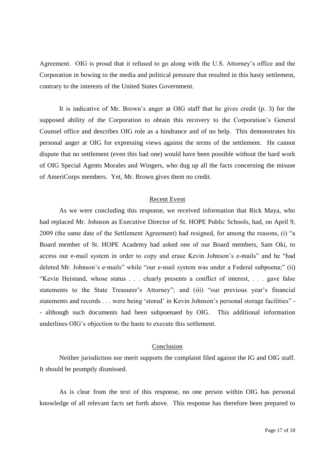Agreement. OIG is proud that it refused to go along with the U.S. Attorney's office and the Corporation in bowing to the media and political pressure that resulted in this hasty settlement, contrary to the interests of the United States Government.

It is indicative of Mr. Brown's anger at OIG staff that he gives credit (p. 3) for the supposed ability of the Corporation to obtain this recovery to the Corporation's General Counsel office and describes OIG role as a hindrance and of no help. This demonstrates his personal anger at OIG for expressing views against the terms of the settlement. He cannot dispute that no settlement (even this bad one) would have been possible without the hard work of OIG Special Agents Morales and Wingers, who dug up all the facts concerning the misuse of AmeriCorps members. Yet, Mr. Brown gives them no credit.

### Recent Event

As we were concluding this response, we received information that Rick Maya, who had replaced Mr. Johnson as Executive Director of St. HOPE Public Schools, had, on April 9, 2009 (the same date of the Settlement Agreement) had resigned, for among the reasons, (i) "a Board member of St. HOPE Academy had asked one of our Board members, Sam Oki, to access our e-mail system in order to copy and erase Kevin Johnson's e-mails" and he "had deleted Mr. Johnson's e-mails" while "our e-mail system was under a Federal subpoena;" (ii) "Kevin Heistand, whose status...clearly presents a conflict of interest,...gave false statements to the State Treasurer's Attorney"; and (iii) "our previous year's financial statements and records . . . were being 'stored' in Kevin Johnson's personal storage facilities" -- although such documents had been subpoenaed by OIG. This additional information underlines OIG's objection to the haste to execute this settlement.

#### Conclusion

Neither jurisdiction nor merit supports the complaint filed against the IG and OIG staff. It should be promptly dismissed.

As is clear from the text of this response, no one person within OIG has personal knowledge of all relevant facts set forth above. This response has therefore been prepared to